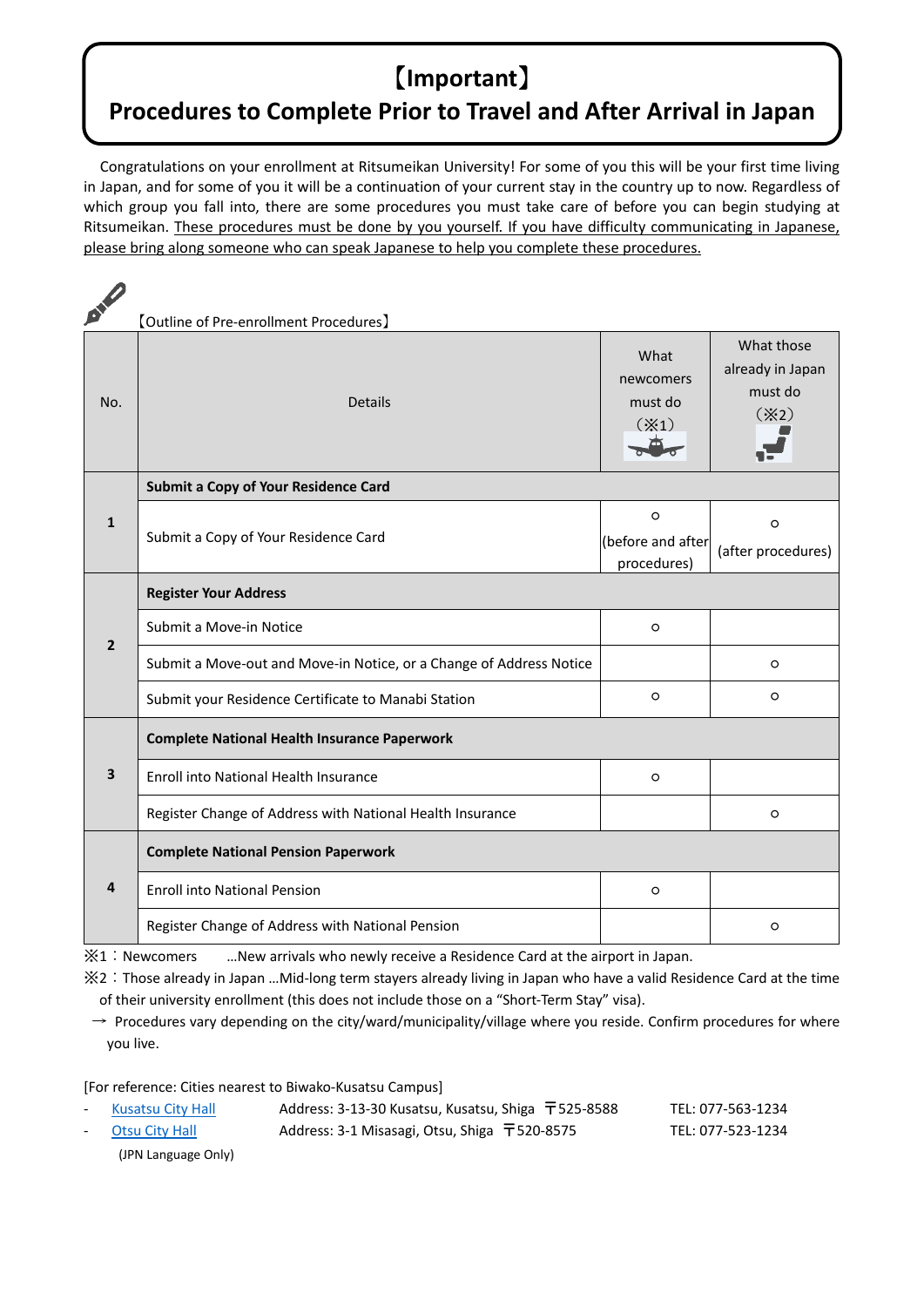## 【**Important**】

## **Procedures to Complete Prior to Travel and After Arrival in Japan**

Congratulations on your enrollment at Ritsumeikan University! For some of you this will be your first time living in Japan, and for some of you it will be a continuation of your current stay in the country up to now. Regardless of which group you fall into, there are some procedures you must take care of before you can begin studying at Ritsumeikan. These procedures must be done by you yourself. If you have difficulty communicating in Japanese, please bring along someone who can speak Japanese to help you complete these procedures.

| <b>DIV</b>     | [Outline of Pre-enrollment Procedures]                              |                                              |                                                           |  |
|----------------|---------------------------------------------------------------------|----------------------------------------------|-----------------------------------------------------------|--|
| No.            | <b>Details</b>                                                      | What<br>newcomers<br>must do<br>$(\times 1)$ | What those<br>already in Japan<br>must do<br>$(\times 2)$ |  |
| $\mathbf{1}$   | <b>Submit a Copy of Your Residence Card</b>                         |                                              |                                                           |  |
|                | Submit a Copy of Your Residence Card                                | $\circ$                                      | $\circ$                                                   |  |
|                |                                                                     | (before and after<br>procedures)             | (after procedures)                                        |  |
|                | <b>Register Your Address</b>                                        |                                              |                                                           |  |
| $\overline{2}$ | Submit a Move-in Notice                                             | $\circ$                                      |                                                           |  |
|                | Submit a Move-out and Move-in Notice, or a Change of Address Notice |                                              | $\circ$                                                   |  |
|                | Submit your Residence Certificate to Manabi Station                 | $\circ$                                      | $\circ$                                                   |  |
|                | <b>Complete National Health Insurance Paperwork</b>                 |                                              |                                                           |  |
| 3              | <b>Enroll into National Health Insurance</b>                        | $\circ$                                      |                                                           |  |
|                | Register Change of Address with National Health Insurance           |                                              | $\circ$                                                   |  |
| 4              | <b>Complete National Pension Paperwork</b>                          |                                              |                                                           |  |
|                | <b>Enroll into National Pension</b>                                 | $\circ$                                      |                                                           |  |
|                | Register Change of Address with National Pension                    |                                              | $\circ$                                                   |  |

※1:Newcomers …New arrivals who newly receive a Residence Card at the airport in Japan.

※2:Those already in Japan …Mid‐long term stayers already living in Japan who have a valid Residence Card at the time of their university enrollment (this does not include those on a "Short‐Term Stay" visa).

 $\rightarrow$  Procedures vary depending on the city/ward/municipality/village where you reside. Confirm procedures for where you live.

[For reference: Cities nearest to Biwako‐Kusatsu Campus]

| - Kusatsu City Hall | Address: 3-13-30 Kusatsu, Kusatsu, Shiga $\overline{T}$ 525-8588 | TEL: 077-563-1234 |
|---------------------|------------------------------------------------------------------|-------------------|
| - Otsu City Hall    | Address: 3-1 Misasagi, Otsu, Shiga $\overline{T}$ 520-8575       | TEL: 077-523-1234 |
| (JPN Language Only) |                                                                  |                   |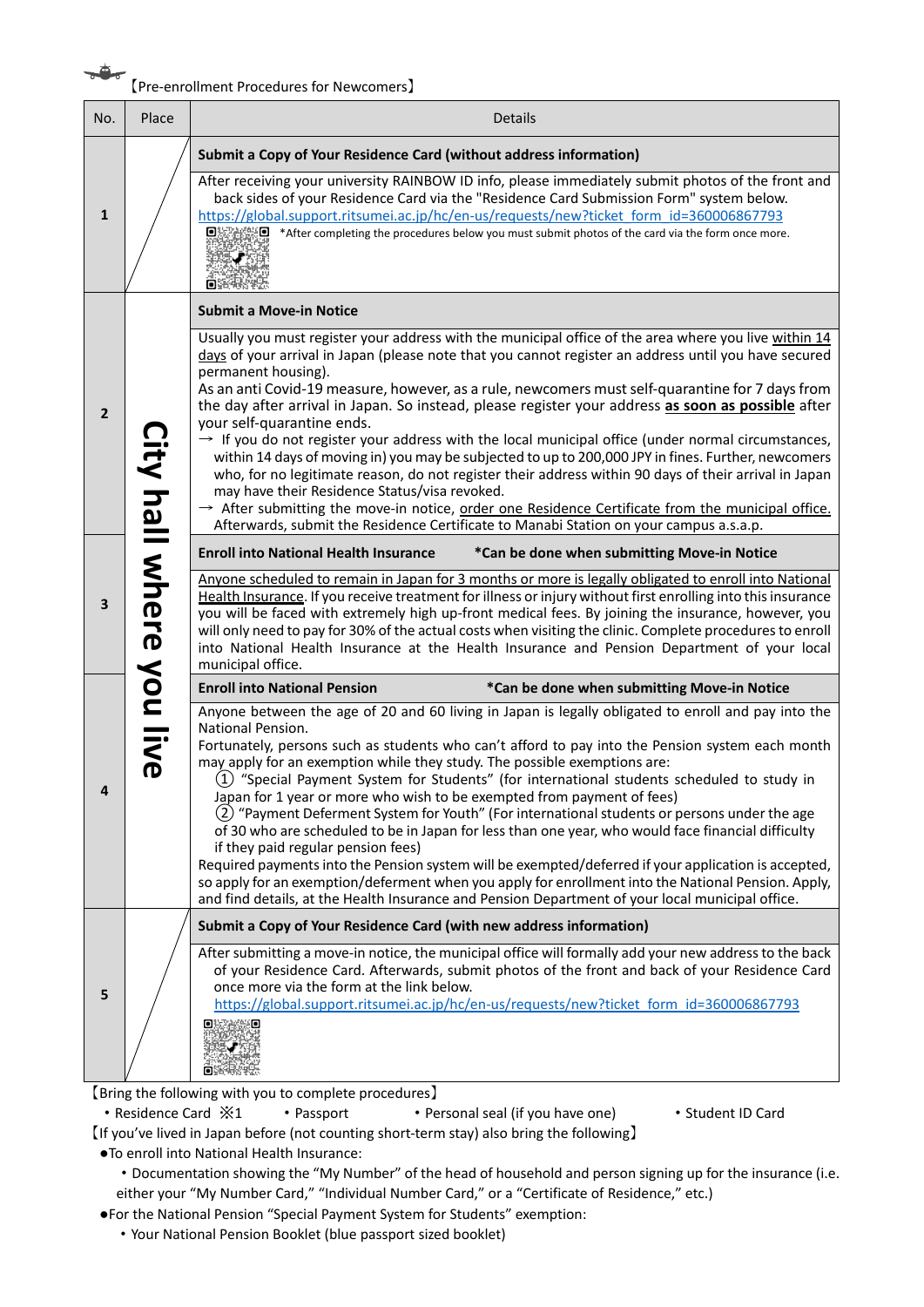## **EXECUTE:**<br>【Pre-enrollment Procedures for Newcomers】

| No.            | Place                                                                                                                                                                                                                          | <b>Details</b>                                                                                                                                                                                                                                                                                                                                                                                                                                                                                                                                                                                                                                                                                                                                                                                                                                                                                                                                                                                                                                     |  |
|----------------|--------------------------------------------------------------------------------------------------------------------------------------------------------------------------------------------------------------------------------|----------------------------------------------------------------------------------------------------------------------------------------------------------------------------------------------------------------------------------------------------------------------------------------------------------------------------------------------------------------------------------------------------------------------------------------------------------------------------------------------------------------------------------------------------------------------------------------------------------------------------------------------------------------------------------------------------------------------------------------------------------------------------------------------------------------------------------------------------------------------------------------------------------------------------------------------------------------------------------------------------------------------------------------------------|--|
| $\mathbf{1}$   |                                                                                                                                                                                                                                | Submit a Copy of Your Residence Card (without address information)                                                                                                                                                                                                                                                                                                                                                                                                                                                                                                                                                                                                                                                                                                                                                                                                                                                                                                                                                                                 |  |
|                |                                                                                                                                                                                                                                | After receiving your university RAINBOW ID info, please immediately submit photos of the front and<br>back sides of your Residence Card via the "Residence Card Submission Form" system below.<br>https://global.support.ritsumei.ac.jp/hc/en-us/requests/new?ticket form id=360006867793<br>oxxxxo<br>*After completing the procedures below you must submit photos of the card via the form once more.                                                                                                                                                                                                                                                                                                                                                                                                                                                                                                                                                                                                                                           |  |
| $\overline{2}$ | <b>Submit a Move-in Notice</b><br>permanent housing).<br>your self-quarantine ends.<br>may have their Residence Status/visa revoked.<br>Afterwards, submit the Residence Certificate to Manabi Station on your campus a.s.a.p. |                                                                                                                                                                                                                                                                                                                                                                                                                                                                                                                                                                                                                                                                                                                                                                                                                                                                                                                                                                                                                                                    |  |
|                |                                                                                                                                                                                                                                | Usually you must register your address with the municipal office of the area where you live within 14<br>days of your arrival in Japan (please note that you cannot register an address until you have secured<br>As an anti Covid-19 measure, however, as a rule, newcomers must self-quarantine for 7 days from<br>the day after arrival in Japan. So instead, please register your address as soon as possible after<br>$\rightarrow$ If you do not register your address with the local municipal office (under normal circumstances,<br>within 14 days of moving in) you may be subjected to up to 200,000 JPY in fines. Further, newcomers<br>who, for no legitimate reason, do not register their address within 90 days of their arrival in Japan<br>$\rightarrow$ After submitting the move-in notice, order one Residence Certificate from the municipal office.                                                                                                                                                                         |  |
| 3              | City hall where                                                                                                                                                                                                                | <b>Enroll into National Health Insurance</b><br>*Can be done when submitting Move-in Notice                                                                                                                                                                                                                                                                                                                                                                                                                                                                                                                                                                                                                                                                                                                                                                                                                                                                                                                                                        |  |
|                |                                                                                                                                                                                                                                | Anyone scheduled to remain in Japan for 3 months or more is legally obligated to enroll into National<br>Health Insurance. If you receive treatment for illness or injury without first enrolling into this insurance<br>you will be faced with extremely high up-front medical fees. By joining the insurance, however, you<br>will only need to pay for 30% of the actual costs when visiting the clinic. Complete procedures to enroll<br>into National Health Insurance at the Health Insurance and Pension Department of your local<br>municipal office.                                                                                                                                                                                                                                                                                                                                                                                                                                                                                      |  |
|                |                                                                                                                                                                                                                                | <b>Enroll into National Pension</b><br>*Can be done when submitting Move-in Notice                                                                                                                                                                                                                                                                                                                                                                                                                                                                                                                                                                                                                                                                                                                                                                                                                                                                                                                                                                 |  |
| 4              | <b>Vou live</b>                                                                                                                                                                                                                | Anyone between the age of 20 and 60 living in Japan is legally obligated to enroll and pay into the<br>National Pension.<br>Fortunately, persons such as students who can't afford to pay into the Pension system each month<br>may apply for an exemption while they study. The possible exemptions are:<br>(1) "Special Payment System for Students" (for international students scheduled to study in<br>Japan for 1 year or more who wish to be exempted from payment of fees)<br>(2) "Payment Deferment System for Youth" (For international students or persons under the age<br>of 30 who are scheduled to be in Japan for less than one year, who would face financial difficulty<br>if they paid regular pension fees)<br>Required payments into the Pension system will be exempted/deferred if your application is accepted,<br>so apply for an exemption/deferment when you apply for enrollment into the National Pension. Apply,<br>and find details, at the Health Insurance and Pension Department of your local municipal office. |  |
|                |                                                                                                                                                                                                                                | Submit a Copy of Your Residence Card (with new address information)                                                                                                                                                                                                                                                                                                                                                                                                                                                                                                                                                                                                                                                                                                                                                                                                                                                                                                                                                                                |  |
| 5              |                                                                                                                                                                                                                                | After submitting a move-in notice, the municipal office will formally add your new address to the back<br>of your Residence Card. Afterwards, submit photos of the front and back of your Residence Card<br>once more via the form at the link below.<br>https://global.support.ritsumei.ac.jp/hc/en-us/requests/new?ticket form id=360006867793                                                                                                                                                                                                                                                                                                                                                                                                                                                                                                                                                                                                                                                                                                   |  |
|                |                                                                                                                                                                                                                                |                                                                                                                                                                                                                                                                                                                                                                                                                                                                                                                                                                                                                                                                                                                                                                                                                                                                                                                                                                                                                                                    |  |

【Bring the following with you to complete procedures】

• Residence Card  $\divideontimes 1$  • Passport • Personal seal (if you have one) • Student ID Card

- 【If you've lived in Japan before (not counting short‐term stay) also bring the following】
- ●To enroll into National Health Insurance:
	- ・Documentation showing the "My Number" of the head of household and person signing up for the insurance (i.e. either your "My Number Card," "Individual Number Card," or a "Certificate of Residence," etc.)
- ●For the National Pension "Special Payment System for Students" exemption:
	- ・Your National Pension Booklet (blue passport sized booklet)